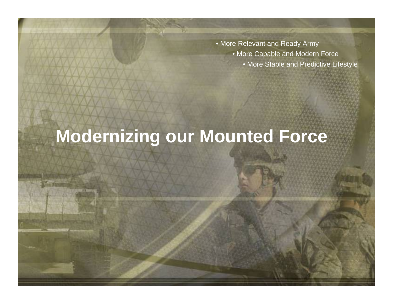- More Relevant and Ready Army
	- More Capable and Modern Force
		- More Stable and Predictive Lifestyle

# **Modernizing our Mounted Force**

1990 - The Control of the Control of the Control of the Control of the Control of the Control of the Control of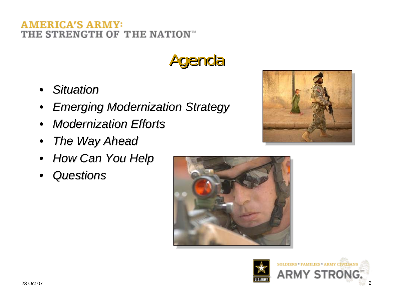### IERICA'S ARMY: THE STRENGTH OF THE NATION<sup>\*</sup>

Agenda

- •*Situation Situation*
- •*Emerging Modernization Strategy Emerging Modernization Strategy*
- •*Modernization Efforts Modernization Efforts*
- •*The Way Ahead The Way Ahead*
- •*How Can You Help How Can You Help*
- •*Questions Questions*





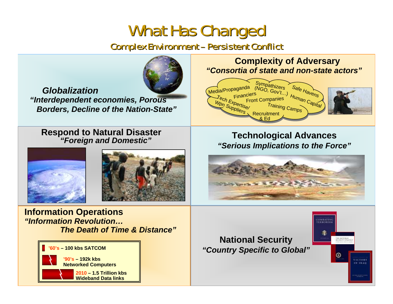## What Has Changed What Has Changed

Complex Environment – Persistent Conflict Complex Environment – Persistent Conflict



*Globalization "Interdependent economies, Porous Borders, Decline of the Nation-State"*

#### **Respond to Natural Disaster** *"Foreign and Domestic"*





**Information Operations** *"Information Revolution…The Death of Time & Distance"*



**Complexity of Adversary** *"Consortia of state and non-state actors"*



**Technological Advances** *"Serious Implications to the Force"*



### **National Security** *"Country Specific to Global"*

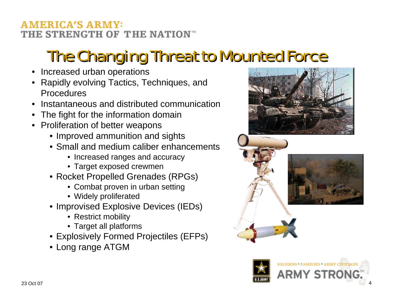### AMERICA'S ARMY: THE STRENGTH OF THE NATION™

# The Changing Threat to Mounted Force

- Increased urban operations
- Rapidly evolving Tactics, Techniques, and Procedures
- Instantaneous and distributed communication
- The fight for the information domain
- Proliferation of better weapons
	- Improved ammunition and sights
	- Small and medium caliber enhancements
		- Increased ranges and accuracy
		- Target exposed crewmen
	- Rocket Propelled Grenades (RPGs)
		- Combat proven in urban setting
		- Widely proliferated
	- Improvised Explosive Devices (IEDs)
		- Restrict mobility
		- Target all platforms
	- Explosively Formed Projectiles (EFPs)
	- Long range ATGM





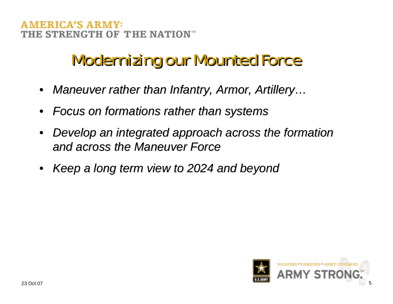#### ERICA'S ARN E STRENGTH OF THE NATION  $^{\scriptscriptstyle\rm{m}}$

## **Modernizing our Mounted Force**

- *Maneuver rather than Infantry, Armor, Artillery...*
- •*Focus on formations rather than systems Focus on formations rather than systems*
- •*Develop an integrated approach across the formation Develop an integrated approach across the formation and across the Maneuver Force and across the Maneuver Force*
- •*Keep a long term view to 2024 and beyond Keep a long term view to 2024 and beyond*

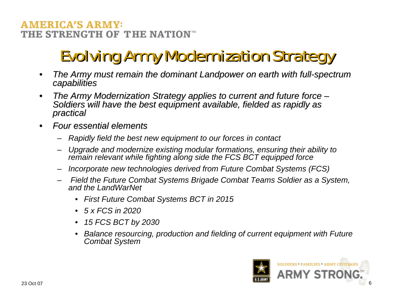### **AMERICA'S ARMY:** THE STRENGTH OF THE NATION™

# Evolving Army Modernization Strategy Evolving Army Modernization Strategy

- •*The Army must remain the dominant The Army must remain the dominant Landpower Landpower on earth with full on earth with full-spectrum spectrum capabilities capabilities*
- The Army Modernization Strategy applies to current and future force –<br>Soldiers will have the best equipment available, fielded as rapidly as<br>practical
- •*Four essential elements Four essential elements*
	- *Rapidly field the best new equipment to our forces in contact*
	- *Upgrade and modernize existing modular formations, ensuring their ability to remain relevant while fighting along side the FCS BCT equipped force*
	- *Incorporate new technologies derived from Future Combat Systems (FCS)*
	- *Field the Future Combat Systems Brigade Combat Teams Soldier as a System, and the LandWarNet*
		- *First Future Combat Systems BCT in 2015*
		- *5 x FCS in 2020*
		- *15 FCS BCT by 2030*
		- *Balance resourcing, production and fielding of current equipment with Future Combat System*

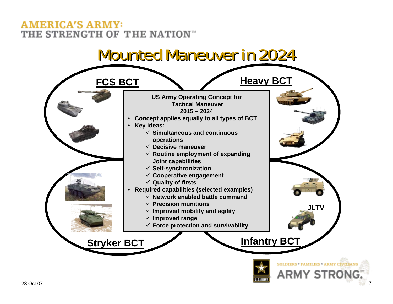### **AMERICA'S ARMY:** THE STRENGTH OF THE NATION<sup>\*\*</sup>

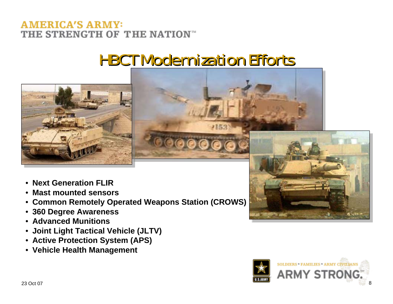### **AMERICA'S ARMY:** THE STRENGTH OF THE NATION<sup>®</sup>

## **HBCT Modernization Efforts**



- **Next Generation FLIR**
- **Mast mounted sensors**
- **Common Remotely Operated Weapons Station (CROWS)**
- **360 Degree Awareness**
- **Advanced Munitions**
- **Joint Light Tactical Vehicle (JLTV)**
- **Active Protection System (APS)**
- **Vehicle Health Management**



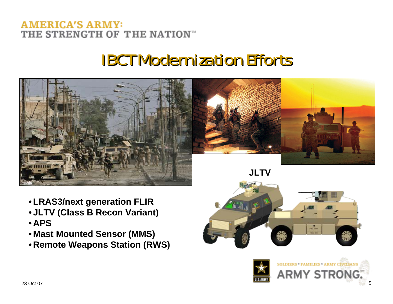### **AMERICA'S ARMY:** THE STRENGTH OF THE NATION<sup>®</sup>

## **IBCT Modernization Efforts**



- **LRAS3/next generation FLIR**
- **JLTV (Class B Recon Variant)**
- **APS**
- **Mast Mounted Sensor (MMS)**
- **Remote Weapons Station (RWS)**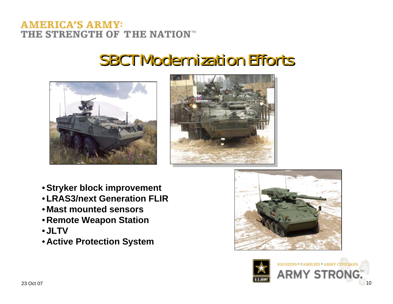### **AMERICA'S ARMY:** THE STRENGTH OF THE NATION<sup>\*\*</sup>

### **SBCT Modernization Efforts**





- **Stryker block improvement**
- **LRAS3/next Generation FLIR**
- **Mast mounted sensors**
- **Remote Weapon Station**
- **JLTV**
- **Active Protection System**



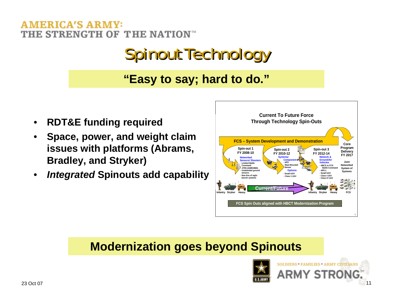#### MERICA'S ARMY: THE STRENGTH OF THE NATION

# Spinout Technology

### **"Easy to say; hard to do."**

- **RDT&E funding required**
- **Space, power, and weight claim issues with platforms (Abrams, Bradley, and Stryker)**
- *Integrated* **Spinouts add capability**



### **Modernization goes beyond Spinouts**

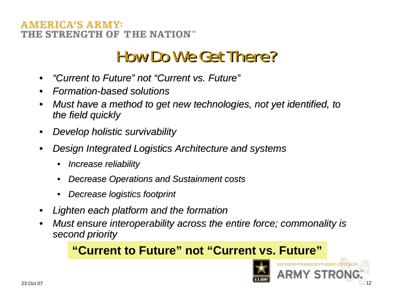### **ERICA'S ARM** E STRENGTH OF THE NATION  $^\circ$

## **How Do We Get There?**

- •*"Current to Future Current to Future"not "Current vs. Future Current vs. Future"*
- •*Formation Formation-based solutions based solutions*
- *Must have a method to get new technologies, not yet identified, to the field quickly the field quickly*
- •*Develop holistic survivability Develop holistic survivability*
- *Design Integrated Logistics Architecture and systems* 
	- •*Increase reliability Increase reliability*
	- •*Decrease Operations and Sustainment costs Decrease Operations and Sustainment costs*
	- •*Decrease logistics footprint Decrease logistics footprint*
- •*Lighten each platform and the formation Lighten each platform and the formation*
- *Must ensure interoperability across the entire force; commonality is second priority second priority*

### **"Current to Future" not "Current vs. Future"**



ERS \* FAMILIES \* ARMY CIVILIAN

ARMY STRO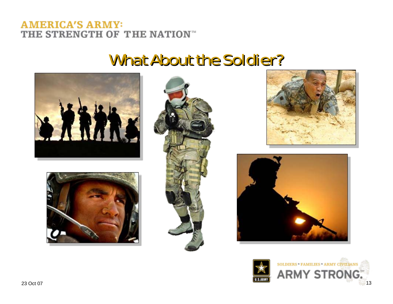#### **AMERICA'S ARMY:** THE STRENGTH OF THE NATION"

### What About the Soldier?











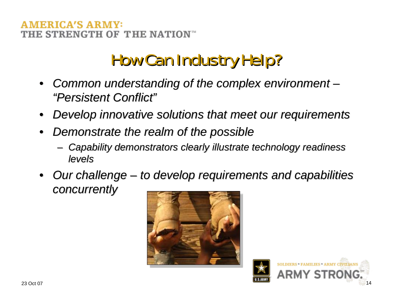### IERICA'S ARM E STRENGTH OF THE NATION  $\mathbb{R}$

# **How Can Industry Help?**

- *Common understanding of the complex environment "Persistent Conflict Persistent Conflict"*
- •*Develop innovative solutions that meet our requirements Develop innovative solutions that meet our requirements*
- •*Demonstrate the realm of the possible Demonstrate the realm of the possible*
	- –*Capability demonstrators clearly illustrate technology readiness Capability demonstrators clearly illustrate technology readiness levels*
- Our challenge to develop requirements and capabilities *concurrently concurrently*